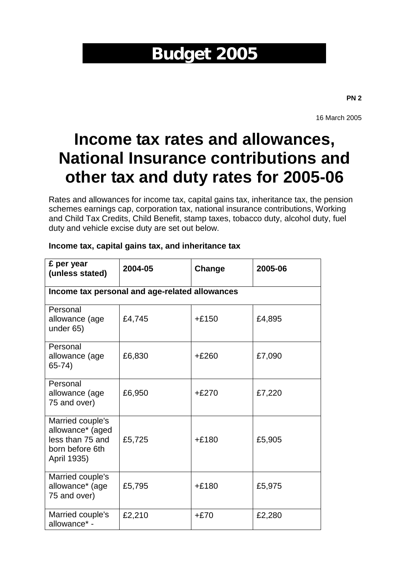# **Budget 2005**

**PN 2**

16 March 2005

# **Income tax rates and allowances, National Insurance contributions and other tax and duty rates for 2005-06**

Rates and allowances for income tax, capital gains tax, inheritance tax, the pension schemes earnings cap, corporation tax, national insurance contributions, Working and Child Tax Credits, Child Benefit, stamp taxes, tobacco duty, alcohol duty, fuel duty and vehicle excise duty are set out below.

| £ per year<br>(unless stated)                                                              | 2004-05                                        | Change  | 2005-06 |
|--------------------------------------------------------------------------------------------|------------------------------------------------|---------|---------|
|                                                                                            | Income tax personal and age-related allowances |         |         |
| Personal<br>allowance (age<br>under 65)                                                    | £4,745                                         | $+£150$ | £4,895  |
| Personal<br>allowance (age<br>$65 - 74$                                                    | £6,830                                         | $+£260$ | £7,090  |
| Personal<br>allowance (age<br>75 and over)                                                 | £6,950                                         | $+£270$ | £7,220  |
| Married couple's<br>allowance* (aged<br>less than 75 and<br>born before 6th<br>April 1935) | £5,725                                         | $+£180$ | £5,905  |
| Married couple's<br>allowance* (age<br>75 and over)                                        | £5,795                                         | $+£180$ | £5,975  |
| Married couple's<br>allowance* -                                                           | £2,210                                         | $+£70$  | £2,280  |

#### **Income tax, capital gains tax, and inheritance tax**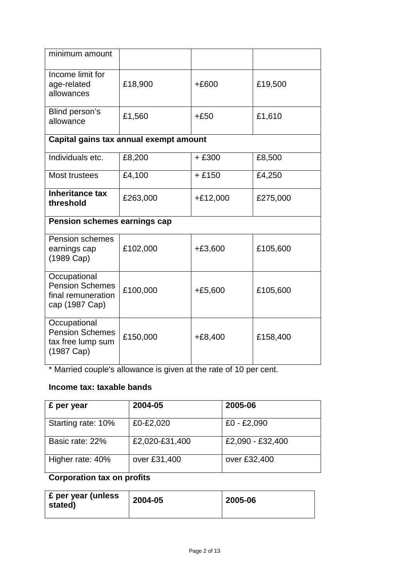| minimum amount                                                                      |                                        |            |          |
|-------------------------------------------------------------------------------------|----------------------------------------|------------|----------|
| Income limit for<br>age-related<br>allowances                                       | £18,900                                | $+£600$    | £19,500  |
| Blind person's<br>allowance                                                         | £1,560                                 | $+£50$     | £1,610   |
|                                                                                     | Capital gains tax annual exempt amount |            |          |
| Individuals etc.                                                                    | £8,200                                 | $+£300$    | £8,500   |
| Most trustees                                                                       | £4,100                                 | $+£150$    | £4,250   |
| <b>Inheritance tax</b><br>threshold                                                 | £263,000                               | $+£12,000$ | £275,000 |
| Pension schemes earnings cap                                                        |                                        |            |          |
| <b>Pension schemes</b><br>earnings cap<br>(1989 Cap)                                | £102,000                               | $+£3,600$  | £105,600 |
| Occupational<br><b>Pension Schemes</b><br>final remuneration<br>cap (1987 Cap)      | £100,000                               | $+£5,600$  | £105,600 |
| Occupational<br><b>Pension Schemes</b><br>tax free lump sum<br>$(1987 \text{ Cap})$ | £150,000                               | $+£8,400$  | £158,400 |

\* Married couple's allowance is given at the rate of 10 per cent.

# **Income tax: taxable bands**

| £ per year         | 2004-05        | 2005-06          |
|--------------------|----------------|------------------|
| Starting rate: 10% | £0-£2,020      | $£0 - £2,090$    |
| Basic rate: 22%    | £2,020-£31,400 | £2,090 - £32,400 |
| Higher rate: 40%   | over £31,400   | over £32,400     |

# **Corporation tax on profits**

| <b>E</b> per year (unless<br>stated) | 2004-05 | 2005-06 |
|--------------------------------------|---------|---------|
|                                      |         |         |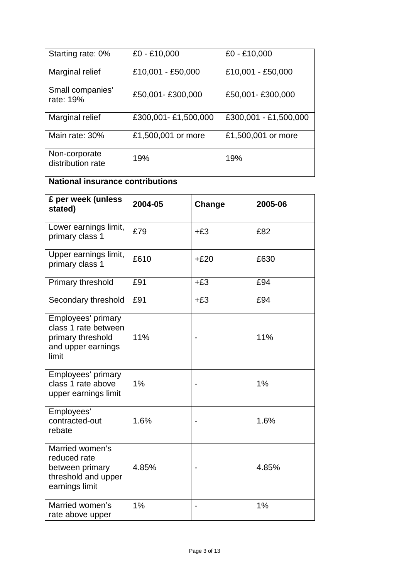| Starting rate: 0%                  | £0 - £10,000        | £0 - £10,000          |
|------------------------------------|---------------------|-----------------------|
| Marginal relief                    | £10,001 - £50,000   | £10,001 - £50,000     |
| Small companies'<br>rate: 19%      | £50,001-£300,000    | £50,001-£300,000      |
| Marginal relief                    | £300,001-£1,500,000 | £300,001 - £1,500,000 |
| Main rate: 30%                     | £1,500,001 or more  | £1,500,001 or more    |
| Non-corporate<br>distribution rate | 19%                 | 19%                   |

# **National insurance contributions**

| £ per week (unless<br>stated)                                                                  | 2004-05 | Change | 2005-06 |
|------------------------------------------------------------------------------------------------|---------|--------|---------|
| Lower earnings limit,<br>primary class 1                                                       | £79     | $+£3$  | £82     |
| Upper earnings limit,<br>primary class 1                                                       | £610    | $+£20$ | £630    |
| Primary threshold                                                                              | £91     | $+£3$  | £94     |
| Secondary threshold                                                                            | £91     | $+£3$  | £94     |
| Employees' primary<br>class 1 rate between<br>primary threshold<br>and upper earnings<br>limit | 11%     |        | 11%     |
| Employees' primary<br>class 1 rate above<br>upper earnings limit                               | 1%      |        | 1%      |
| Employees'<br>contracted-out<br>rebate                                                         | 1.6%    |        | 1.6%    |
| Married women's<br>reduced rate<br>between primary<br>threshold and upper<br>earnings limit    | 4.85%   |        | 4.85%   |
| Married women's<br>rate above upper                                                            | 1%      |        | $1\%$   |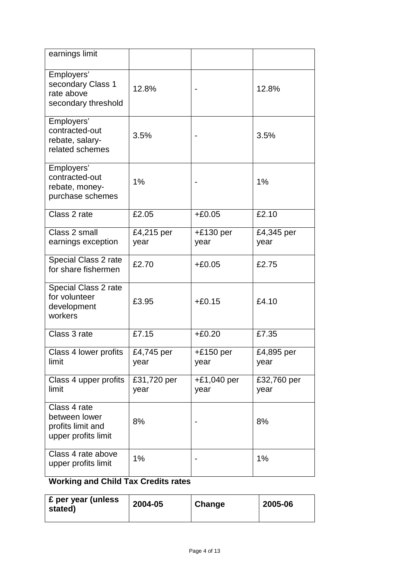| earnings limit                                                            |                                  |                       |                     |
|---------------------------------------------------------------------------|----------------------------------|-----------------------|---------------------|
| Employers'<br>secondary Class 1<br>rate above<br>secondary threshold      | 12.8%                            |                       | 12.8%               |
| Employers'<br>contracted-out<br>rebate, salary-<br>related schemes        | 3.5%                             |                       | 3.5%                |
| Employers'<br>contracted-out<br>rebate, money-<br>purchase schemes        | 1%                               |                       | 1%                  |
| Class 2 rate                                                              | £2.05                            | $+£0.05$              | £2.10               |
| Class 2 small<br>earnings exception                                       | $\overline{E}$ 4,215 per<br>year | $+£130$ per<br>year   | £4,345 per<br>year  |
| Special Class 2 rate<br>for share fishermen                               | £2.70                            | $+£0.05$              | £2.75               |
| Special Class 2 rate<br>for volunteer<br>development<br>workers           | £3.95                            | $+£0.15$              | £4.10               |
| Class 3 rate                                                              | £7.15                            | $+£0.20$              | £7.35               |
| Class 4 lower profits<br>limit                                            | £4,745 per<br>year               | $+£150$ per<br>year   | £4,895 per<br>year  |
| Class 4 upper profits<br>limit                                            | £31,720 per<br>year              | $+£1,040$ per<br>year | £32,760 per<br>year |
| Class 4 rate<br>between lower<br>profits limit and<br>upper profits limit | 8%                               |                       | 8%                  |
| Class 4 rate above<br>upper profits limit                                 | 1%                               |                       | 1%                  |

# **Working and Child Tax Credits rates**

| ' £ per year (unless<br>stated) | 2004-05 | Change | 2005-06 |
|---------------------------------|---------|--------|---------|
|---------------------------------|---------|--------|---------|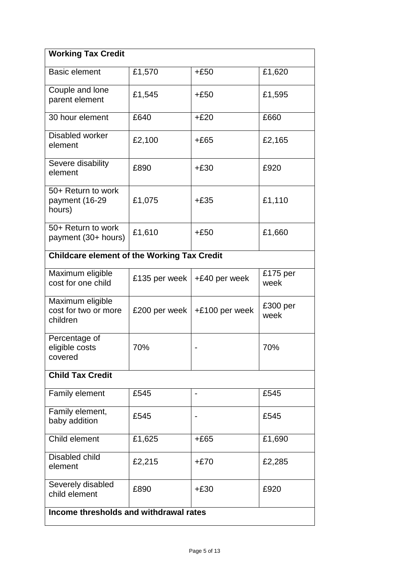| <b>Working Tax Credit</b>                            |               |                |                  |
|------------------------------------------------------|---------------|----------------|------------------|
| <b>Basic element</b>                                 | £1,570        | $+£50$         | £1,620           |
| Couple and lone<br>parent element                    | £1,545        | $+£50$         | £1,595           |
| 30 hour element                                      | £640          | $+£20$         | £660             |
| Disabled worker<br>element                           | £2,100        | $+£65$         | £2,165           |
| Severe disability<br>element                         | £890          | $+£30$         | £920             |
| 50+ Return to work<br>payment (16-29<br>hours)       | £1,075        | $+£35$         | £1,110           |
| 50+ Return to work<br>payment (30+ hours)            | £1,610        | $+£50$         | £1,660           |
| <b>Childcare element of the Working Tax Credit</b>   |               |                |                  |
| Maximum eligible<br>cost for one child               | £135 per week | +£40 per week  | £175 per<br>week |
| Maximum eligible<br>cost for two or more<br>children | £200 per week | +£100 per week | £300 per<br>week |
| Percentage of<br>eligible costs<br>covered           | 70%           |                | 70%              |
| <b>Child Tax Credit</b>                              |               |                |                  |
| Family element                                       | £545          |                | £545             |
| Family element,<br>baby addition                     | £545          |                | £545             |
| Child element                                        | £1,625        | $+£65$         | £1,690           |
| Disabled child<br>element                            | £2,215        | $+£70$         | £2,285           |
| Severely disabled<br>child element                   | £890          | $+£30$         | £920             |
| Income thresholds and withdrawal rates               |               |                |                  |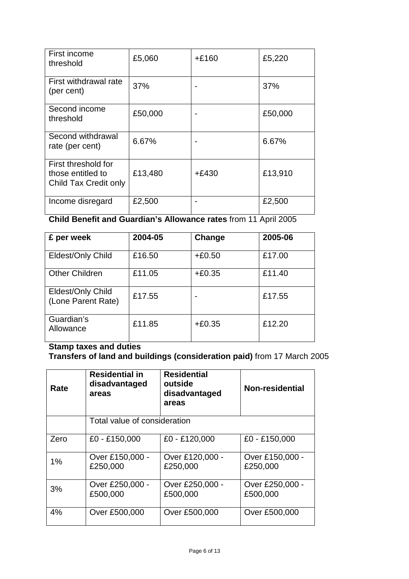| First income<br>threshold                                         | £5,060  | $+£160$ | £5,220  |
|-------------------------------------------------------------------|---------|---------|---------|
| First withdrawal rate<br>(per cent)                               | 37%     |         | 37%     |
| Second income<br>threshold                                        | £50,000 |         | £50,000 |
| Second withdrawal<br>rate (per cent)                              | 6.67%   |         | 6.67%   |
| First threshold for<br>those entitled to<br>Child Tax Credit only | £13,480 | $+£430$ | £13,910 |
| Income disregard                                                  | £2,500  |         | £2,500  |

**Child Benefit and Guardian's Allowance rates** from 11 April 2005

| £ per week                              | 2004-05 | Change   | 2005-06 |
|-----------------------------------------|---------|----------|---------|
| Eldest/Only Child                       | £16.50  | $+£0.50$ | £17.00  |
| <b>Other Children</b>                   | £11.05  | $+£0.35$ | £11.40  |
| Eldest/Only Child<br>(Lone Parent Rate) | £17.55  |          | £17.55  |
| Guardian's<br>Allowance                 | £11.85  | $+£0.35$ | £12.20  |

# **Stamp taxes and duties**

**Transfers of land and buildings (consideration paid)** from 17 March 2005

| Rate | <b>Residential in</b><br>disadvantaged<br>areas | <b>Residential</b><br>outside<br>disadvantaged<br>areas | Non-residential             |
|------|-------------------------------------------------|---------------------------------------------------------|-----------------------------|
|      | Total value of consideration                    |                                                         |                             |
| Zero | £0 - £150,000                                   | £0 - £120,000                                           | £0 - £150,000               |
| 1%   | Over £150,000 -<br>£250,000                     | Over £120,000 -<br>£250,000                             | Over £150,000 -<br>£250,000 |
| 3%   | Over £250,000 -<br>£500,000                     | Over £250,000 -<br>£500,000                             | Over £250,000 -<br>£500,000 |
| 4%   | Over £500,000                                   | Over £500,000                                           | Over £500,000               |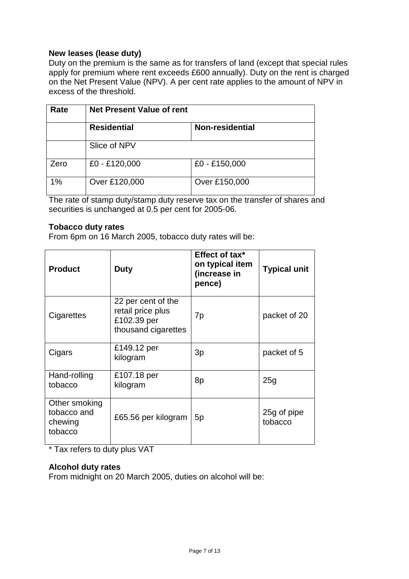# **New leases (lease duty)**

Duty on the premium is the same as for transfers of land (except that special rules apply for premium where rent exceeds £600 annually). Duty on the rent is charged on the Net Present Value (NPV). A per cent rate applies to the amount of NPV in excess of the threshold.

| Rate | <b>Net Present Value of rent</b> |                 |  |
|------|----------------------------------|-----------------|--|
|      | <b>Residential</b>               | Non-residential |  |
|      | Slice of NPV                     |                 |  |
| Zero | £0 - £120,000                    | £0 - £150,000   |  |
| 1%   | Over £120,000                    | Over £150,000   |  |

The rate of stamp duty/stamp duty reserve tax on the transfer of shares and securities is unchanged at 0.5 per cent for 2005-06.

# **Tobacco duty rates**

From 6pm on 16 March 2005, tobacco duty rates will be:

| <b>Product</b>                                     | <b>Duty</b>                                                                   | Effect of tax*<br>on typical item<br>(increase in<br>pence) | <b>Typical unit</b>    |
|----------------------------------------------------|-------------------------------------------------------------------------------|-------------------------------------------------------------|------------------------|
| Cigarettes                                         | 22 per cent of the<br>retail price plus<br>£102.39 per<br>thousand cigarettes | 7p                                                          | packet of 20           |
| Cigars                                             | £149.12 per<br>kilogram                                                       | 3p                                                          | packet of 5            |
| Hand-rolling<br>tobacco                            | £107.18 per<br>kilogram                                                       | 8p                                                          | 25g                    |
| Other smoking<br>tobacco and<br>chewing<br>tobacco | £65.56 per kilogram                                                           | 5 <sub>p</sub>                                              | 25g of pipe<br>tobacco |

\* Tax refers to duty plus VAT

# **Alcohol duty rates**

From midnight on 20 March 2005, duties on alcohol will be: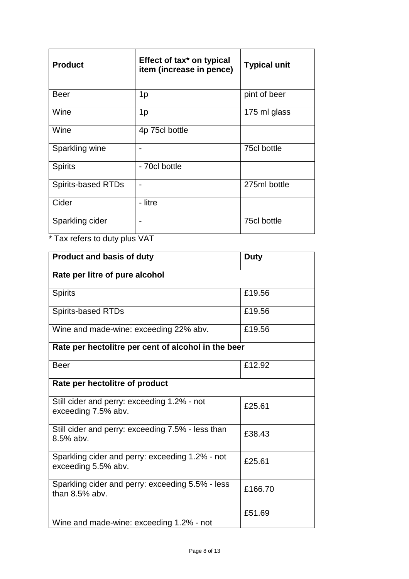| <b>Product</b>            | Effect of tax <sup>*</sup> on typical<br>item (increase in pence) | <b>Typical unit</b> |
|---------------------------|-------------------------------------------------------------------|---------------------|
| <b>Beer</b>               | 1 <sub>p</sub>                                                    | pint of beer        |
| Wine                      | 1 <sub>p</sub>                                                    | 175 ml glass        |
| Wine                      | 4p 75cl bottle                                                    |                     |
| Sparkling wine            |                                                                   | 75cl bottle         |
| <b>Spirits</b>            | - 70cl bottle                                                     |                     |
| <b>Spirits-based RTDs</b> |                                                                   | 275ml bottle        |
| Cider                     | - litre                                                           |                     |
| Sparkling cider           |                                                                   | 75cl bottle         |

\* Tax refers to duty plus VAT

| <b>Product and basis of duty</b>                                       | <b>Duty</b> |
|------------------------------------------------------------------------|-------------|
| Rate per litre of pure alcohol                                         |             |
| <b>Spirits</b>                                                         | £19.56      |
| <b>Spirits-based RTDs</b>                                              | £19.56      |
| Wine and made-wine: exceeding 22% abv.                                 | £19.56      |
| Rate per hectolitre per cent of alcohol in the beer                    |             |
| <b>Beer</b>                                                            | £12.92      |
| Rate per hectolitre of product                                         |             |
| Still cider and perry: exceeding 1.2% - not<br>exceeding 7.5% abv.     | £25.61      |
| Still cider and perry: exceeding 7.5% - less than<br>8.5% abv.         | £38.43      |
| Sparkling cider and perry: exceeding 1.2% - not<br>exceeding 5.5% abv. | £25.61      |
| Sparkling cider and perry: exceeding 5.5% - less<br>than $8.5\%$ aby.  | £166.70     |
| Wine and made-wine: exceeding 1.2% - not                               | £51.69      |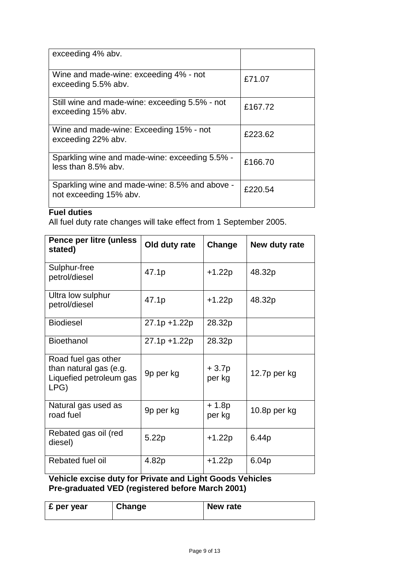| exceeding 4% abv.                                                        |         |
|--------------------------------------------------------------------------|---------|
| Wine and made-wine: exceeding 4% - not<br>exceeding 5.5% abv.            | £71.07  |
| Still wine and made-wine: exceeding 5.5% - not<br>exceeding 15% abv.     | £167.72 |
| Wine and made-wine: Exceeding 15% - not<br>exceeding 22% abv.            | £223.62 |
| Sparkling wine and made-wine: exceeding 5.5% -<br>less than 8.5% abv.    | £166.70 |
| Sparkling wine and made-wine: 8.5% and above -<br>not exceeding 15% abv. | £220.54 |

# **Fuel duties**

All fuel duty rate changes will take effect from 1 September 2005.

| Pence per litre (unless<br>stated)                                               | Old duty rate | Change           | New duty rate |
|----------------------------------------------------------------------------------|---------------|------------------|---------------|
| Sulphur-free<br>petrol/diesel                                                    | 47.1p         | $+1.22p$         | 48.32p        |
| Ultra low sulphur<br>petrol/diesel                                               | 47.1p         | $+1.22p$         | 48.32p        |
| <b>Biodiesel</b>                                                                 | 27.1p +1.22p  | 28.32p           |               |
| <b>Bioethanol</b>                                                                | 27.1p +1.22p  | 28.32p           |               |
| Road fuel gas other<br>than natural gas (e.g.<br>Liquefied petroleum gas<br>LPG) | 9p per kg     | + 3.7p<br>per kg | 12.7p per kg  |
| Natural gas used as<br>road fuel                                                 | 9p per kg     | + 1.8p<br>per kg | 10.8p per kg  |
| Rebated gas oil (red<br>diesel)                                                  | 5.22p         | $+1.22p$         | 6.44p         |
| Rebated fuel oil                                                                 | 4.82p         | $+1.22p$         | 6.04p         |

# **Vehicle excise duty for Private and Light Goods Vehicles Pre-graduated VED (registered before March 2001)**

| ∣ £ per year | Change | New rate |
|--------------|--------|----------|
|              |        |          |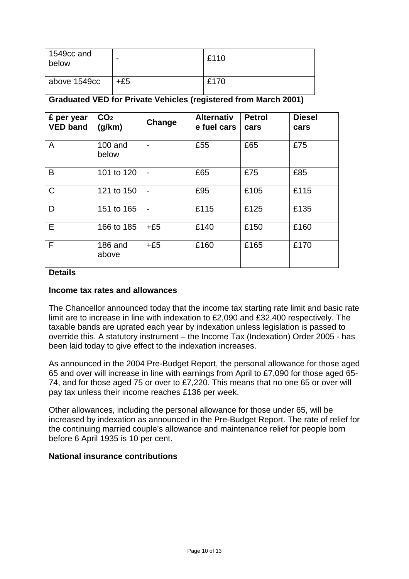| $\vert$ 1549cc and<br>below |     | £110 |
|-----------------------------|-----|------|
| above 1549cc                | +£5 | £170 |

# **Graduated VED for Private Vehicles (registered from March 2001)**

| £ per year<br><b>VED band</b> | CO <sub>2</sub><br>(g/km) | Change | <b>Alternativ</b><br>e fuel cars | <b>Petrol</b><br>cars | <b>Diesel</b><br>cars |
|-------------------------------|---------------------------|--------|----------------------------------|-----------------------|-----------------------|
| A                             | $100$ and<br>below        |        | £55                              | £65                   | £75                   |
| B                             | 101 to 120                |        | £65                              | £75                   | £85                   |
| $\mathsf C$                   | 121 to 150                |        | £95                              | £105                  | £115                  |
| D                             | 151 to 165                |        | £115                             | £125                  | £135                  |
| E.                            | 166 to 185                | $+£5$  | £140                             | £150                  | £160                  |
| F                             | 186 and<br>above          | $+£5$  | £160                             | £165                  | £170                  |

#### **Details**

#### **Income tax rates and allowances**

The Chancellor announced today that the income tax starting rate limit and basic rate limit are to increase in line with indexation to £2,090 and £32,400 respectively. The taxable bands are uprated each year by indexation unless legislation is passed to override this. A statutory instrument – the Income Tax (Indexation) Order 2005 - has been laid today to give effect to the indexation increases.

As announced in the 2004 Pre-Budget Report, the personal allowance for those aged 65 and over will increase in line with earnings from April to £7,090 for those aged 65- 74, and for those aged 75 or over to £7,220. This means that no one 65 or over will pay tax unless their income reaches £136 per week.

Other allowances, including the personal allowance for those under 65, will be increased by indexation as announced in the Pre-Budget Report. The rate of relief for the continuing married couple's allowance and maintenance relief for people born before 6 April 1935 is 10 per cent.

# **National insurance contributions**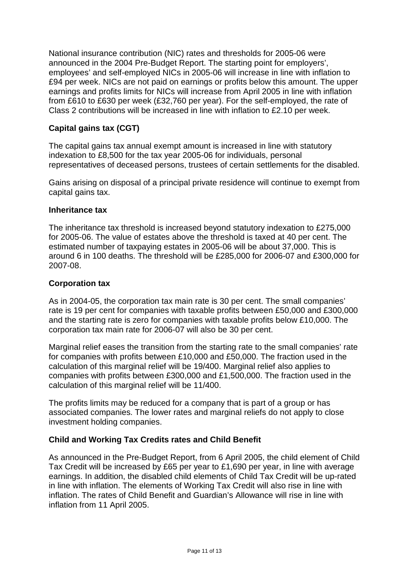National insurance contribution (NIC) rates and thresholds for 2005-06 were announced in the 2004 Pre-Budget Report. The starting point for employers', employees' and self-employed NICs in 2005-06 will increase in line with inflation to £94 per week. NICs are not paid on earnings or profits below this amount. The upper earnings and profits limits for NICs will increase from April 2005 in line with inflation from £610 to £630 per week (£32,760 per year). For the self-employed, the rate of Class 2 contributions will be increased in line with inflation to £2.10 per week.

# **Capital gains tax (CGT)**

The capital gains tax annual exempt amount is increased in line with statutory indexation to £8,500 for the tax year 2005-06 for individuals, personal representatives of deceased persons, trustees of certain settlements for the disabled.

Gains arising on disposal of a principal private residence will continue to exempt from capital gains tax.

# **Inheritance tax**

The inheritance tax threshold is increased beyond statutory indexation to £275,000 for 2005-06. The value of estates above the threshold is taxed at 40 per cent. The estimated number of taxpaying estates in 2005-06 will be about 37,000. This is around 6 in 100 deaths. The threshold will be £285,000 for 2006-07 and £300,000 for 2007-08.

# **Corporation tax**

As in 2004-05, the corporation tax main rate is 30 per cent. The small companies' rate is 19 per cent for companies with taxable profits between £50,000 and £300,000 and the starting rate is zero for companies with taxable profits below £10,000. The corporation tax main rate for 2006-07 will also be 30 per cent.

Marginal relief eases the transition from the starting rate to the small companies' rate for companies with profits between £10,000 and £50,000. The fraction used in the calculation of this marginal relief will be 19/400. Marginal relief also applies to companies with profits between £300,000 and £1,500,000. The fraction used in the calculation of this marginal relief will be 11/400.

The profits limits may be reduced for a company that is part of a group or has associated companies. The lower rates and marginal reliefs do not apply to close investment holding companies.

# **Child and Working Tax Credits rates and Child Benefit**

As announced in the Pre-Budget Report, from 6 April 2005, the child element of Child Tax Credit will be increased by £65 per year to £1,690 per year, in line with average earnings. In addition, the disabled child elements of Child Tax Credit will be up-rated in line with inflation. The elements of Working Tax Credit will also rise in line with inflation. The rates of Child Benefit and Guardian's Allowance will rise in line with inflation from 11 April 2005.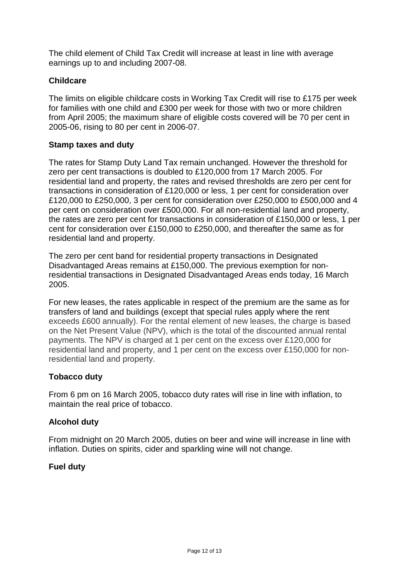The child element of Child Tax Credit will increase at least in line with average earnings up to and including 2007-08.

# **Childcare**

The limits on eligible childcare costs in Working Tax Credit will rise to £175 per week for families with one child and £300 per week for those with two or more children from April 2005; the maximum share of eligible costs covered will be 70 per cent in 2005-06, rising to 80 per cent in 2006-07.

# **Stamp taxes and duty**

The rates for Stamp Duty Land Tax remain unchanged. However the threshold for zero per cent transactions is doubled to £120,000 from 17 March 2005. For residential land and property, the rates and revised thresholds are zero per cent for transactions in consideration of £120,000 or less, 1 per cent for consideration over £120,000 to £250,000, 3 per cent for consideration over £250,000 to £500,000 and 4 per cent on consideration over £500,000. For all non-residential land and property, the rates are zero per cent for transactions in consideration of £150,000 or less, 1 per cent for consideration over £150,000 to £250,000, and thereafter the same as for residential land and property.

The zero per cent band for residential property transactions in Designated Disadvantaged Areas remains at £150,000. The previous exemption for nonresidential transactions in Designated Disadvantaged Areas ends today, 16 March 2005.

For new leases, the rates applicable in respect of the premium are the same as for transfers of land and buildings (except that special rules apply where the rent exceeds £600 annually). For the rental element of new leases, the charge is based on the Net Present Value (NPV), which is the total of the discounted annual rental payments. The NPV is charged at 1 per cent on the excess over £120,000 for residential land and property, and 1 per cent on the excess over £150,000 for nonresidential land and property.

# **Tobacco duty**

From 6 pm on 16 March 2005, tobacco duty rates will rise in line with inflation, to maintain the real price of tobacco.

# **Alcohol duty**

From midnight on 20 March 2005, duties on beer and wine will increase in line with inflation. Duties on spirits, cider and sparkling wine will not change.

# **Fuel duty**